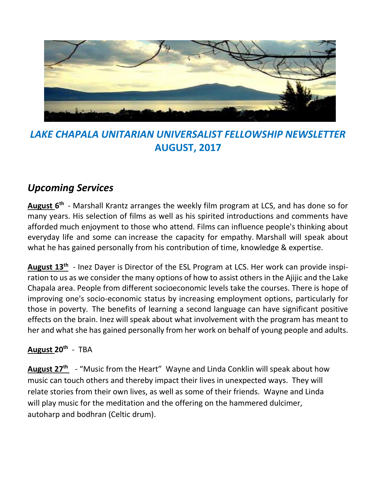

# *LAKE CHAPALA UNITARIAN UNIVERSALIST FELLOWSHIP NEWSLETTER* **AUGUST, 2017**

# *Upcoming Services*

**August 6 th** - Marshall Krantz arranges the weekly film program at LCS, and has done so for many years. His selection of films as well as his spirited introductions and comments have afforded much enjoyment to those who attend. Films can influence people's thinking about everyday life and some can increase the capacity for empathy. Marshall will speak about what he has gained personally from his contribution of time, knowledge & expertise.

**August 13th**  - Inez Dayer is Director of the ESL Program at LCS. Her work can provide inspiration to us as we consider the many options of how to assist others in the Ajijic and the Lake Chapala area. People from different socioeconomic levels take the courses. There is hope of improving one's socio-economic status by increasing employment options, particularly for those in poverty. The benefits of learning a second language can have significant positive effects on the brain. Inez will speak about what involvement with the program has meant to her and what she has gained personally from her work on behalf of young people and adults.

## **August 20th** - TBA

**August 27th**  - "Music from the Heart" Wayne and Linda Conklin will speak about how music can touch others and thereby impact their lives in unexpected ways. They will relate stories from their own lives, as well as some of their friends. Wayne and Linda will play music for the meditation and the offering on the hammered dulcimer, autoharp and bodhran (Celtic drum).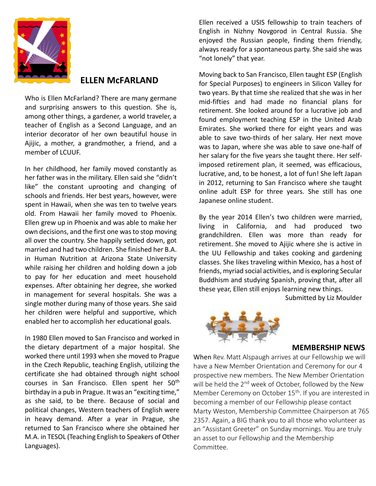

### **ELLEN McFARLAND**

Who is Ellen McFarland? There are many germane and surprising answers to this question. She is, among other things, a gardener, a world traveler, a teacher of English as a Second Language, and an interior decorator of her own beautiful house in Ajijic, a mother, a grandmother, a friend, and a member of LCUUF.

In her childhood, her family moved constantly as her father was in the military. Ellen said she "didn't like" the constant uprooting and changing of schools and friends. Her best years, however, were spent in Hawaii, when she was ten to twelve years old. From Hawaii her family moved to Phoenix. Ellen grew up in Phoenix and was able to make her own decisions, and the first one was to stop moving all over the country. She happily settled down, got married and had two children. She finished her B.A. in Human Nutrition at Arizona State University while raising her children and holding down a job to pay for her education and meet household expenses. After obtaining her degree, she worked in management for several hospitals. She was a single mother during many of those years. She said her children were helpful and supportive, which enabled her to accomplish her educational goals.

In 1980 Ellen moved to San Francisco and worked in the dietary department of a major hospital. She worked there until 1993 when she moved to Prague in the Czech Republic, teaching English, utilizing the certificate she had obtained through night school courses in San Francisco. Ellen spent her 50<sup>th</sup> birthday in a pub in Prague. It was an "exciting time," as she said, to be there. Because of social and political changes, Western teachers of English were in heavy demand. After a year in Prague, she returned to San Francisco where she obtained her M.A. in TESOL (Teaching English to Speakers of Other Languages).

Ellen received a USIS fellowship to train teachers of English in Nizhny Novgorod in Central Russia. She enjoyed the Russian people, finding them friendly, always ready for a spontaneous party. She said she was "not lonely" that year.

Moving back to San Francisco, Ellen taught ESP (English for Special Purposes) to engineers in Silicon Valley for two years. By that time she realized that she was in her mid-fifties and had made no financial plans for retirement. She looked around for a lucrative job and found employment teaching ESP in the United Arab Emirates. She worked there for eight years and was able to save two-thirds of her salary. Her next move was to Japan, where she was able to save one-half of her salary for the five years she taught there. Her selfimposed retirement plan, it seemed, was efficacious, lucrative, and, to be honest, a lot of fun! She left Japan in 2012, returning to San Francisco where she taught online adult ESP for three years. She still has one Japanese online student.

By the year 2014 Ellen's two children were married, living in California, and had produced two grandchildren. Ellen was more than ready for retirement. She moved to Ajijic where she is active in the UU Fellowship and takes cooking and gardening classes. She likes traveling within Mexico, has a host of friends, myriad social activities, and is exploring Secular Buddhism and studying Spanish, proving that, after all these year, Ellen still enjoys learning new things.

Submitted by Liz Moulder



#### **MEMBERSHIP NEWS**

When Rev. Matt Alspaugh arrives at our Fellowship we will have a New Member Orientation and Ceremony for our 4 prospective new members. The New Member Orientation will be held the  $2<sup>nd</sup>$  week of October, followed by the New Member Ceremony on October 15<sup>th</sup>. If you are interested in becoming a member of our Fellowship please contact Marty Weston, Membership Committee Chairperson at 765 2357. Again, a BIG thank you to all those who volunteer as an "Assistant Greeter" on Sunday mornings. You are truly an asset to our Fellowship and the Membership Committee.